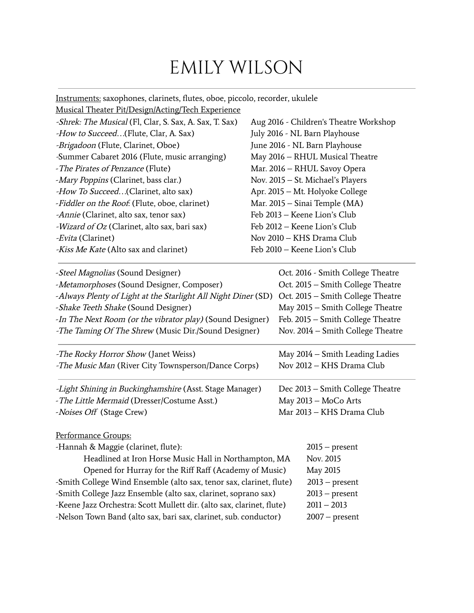## EMILY WILSON

Instruments: saxophones, clarinets, flutes, oboe, piccolo, recorder, ukulele Musical Theater Pit/Design/Acting/Tech Experience -Shrek: The Musical (Fl, Clar, S. Sax, A. Sax, T. Sax) Aug 2016 - Children's Theatre Workshop -How to Succeed...(Flute, Clar, A. Sax) July 2016 - NL Barn Playhouse -Brigadoon (Flute, Clarinet, Oboe) June 2016 - NL Barn Playhouse -Summer Cabaret 2016 (Flute, music arranging) May 2016 – RHUL Musical Theatre -The Pirates of Penzance (Flute) Mar. 2016 – RHUL Savoy Opera -Mary Poppins (Clarinet, bass clar.) Nov. 2015 – St. Michael's Players -How To Succeed...(Clarinet, alto sax) Apr. 2015 – Mt. Holyoke College -Fiddler on the Roof. (Flute, oboe, clarinet) Mar. 2015 – Sinai Temple (MA) -Annie (Clarinet, alto sax, tenor sax) Feb 2013 – Keene Lion's Club -Wizard of Oz (Clarinet, alto sax, bari sax) Feb 2012 – Keene Lion's Club -Evita (Clarinet) Nov 2010 – KHS Drama Club -Kiss Me Kate (Alto sax and clarinet) Feb 2010 – Keene Lion's Club -Steel Magnolias (Sound Designer) Oct. 2016 - Smith College Theatre -Metamorphoses (Sound Designer, Composer) Oct. 2015 – Smith College Theatre -Always Plenty of Light at the Starlight All Night Diner (SD) Oct. 2015 – Smith College Theatre -Shake Teeth Shake (Sound Designer) May 2015 – Smith College Theatre -In The Next Room (or the vibrator play) (Sound Designer) Feb. 2015 – Smith College Theatre -The Taming Of The Shrew (Music Dir./Sound Designer) Nov. 2014 – Smith College Theatre -The Rocky Horror Show (Janet Weiss) May 2014 – Smith Leading Ladies -The Music Man (River City Townsperson/Dance Corps) Nov 2012 - KHS Drama Club -Light Shining in Buckinghamshire (Asst. Stage Manager) Dec 2013 – Smith College Theatre -The Little Mermaid (Dresser/Costume Asst.) May 2013 - MoCo Arts -Noises Off (Stage Crew) Mar 2013 – KHS Drama Club Performance Groups: -Hannah & Maggie (clarinet, flute): 2015 – present Headlined at Iron Horse Music Hall in Northampton, MA Nov. 2015 Opened for Hurray for the Riff Raff (Academy of Music) May 2015 -Smith College Wind Ensemble (alto sax, tenor sax, clarinet, flute) 2013 – present -Smith College Jazz Ensemble (alto sax, clarinet, soprano sax) 2013 – present -Keene Jazz Orchestra: Scott Mullett dir. (alto sax, clarinet, flute) 2011 – 2013 -Nelson Town Band (alto sax, bari sax, clarinet, sub. conductor) 2007 – present